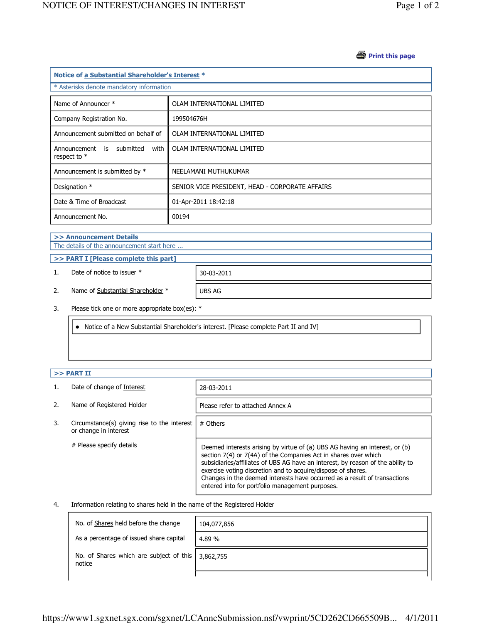#### *S* Print this page

| Notice of a Substantial Shareholder's Interest *    |                                                 |  |
|-----------------------------------------------------|-------------------------------------------------|--|
| * Asterisks denote mandatory information            |                                                 |  |
| Name of Announcer *                                 | OLAM INTERNATIONAL LIMITED                      |  |
| Company Registration No.                            | 199504676H                                      |  |
| Announcement submitted on behalf of                 | OLAM INTERNATIONAL LIMITED                      |  |
| Announcement is submitted<br>with<br>respect to $*$ | OLAM INTERNATIONAL LIMITED                      |  |
| Announcement is submitted by *                      | NEELAMANI MUTHUKUMAR                            |  |
| Designation *                                       | SENIOR VICE PRESIDENT, HEAD - CORPORATE AFFAIRS |  |
| Date & Time of Broadcast                            | 01-Apr-2011 18:42:18                            |  |
| Announcement No.                                    | 00194                                           |  |

# >> Announcement Details

The details of the announcement start here ...

#### >> PART I [Please complete this part]

1. Date of notice to issuer \* 30-03-2011

2. Name of Substantial Shareholder \* UBS AG

3. Please tick one or more appropriate box(es): \*

Notice of a New Substantial Shareholder's interest. [Please complete Part II and IV]

### $>>$  PART II

|    | Date of change of Interest                                           | 28-03-2011                                                                                                                                                                                                                                                                                                                                                                                                                        |
|----|----------------------------------------------------------------------|-----------------------------------------------------------------------------------------------------------------------------------------------------------------------------------------------------------------------------------------------------------------------------------------------------------------------------------------------------------------------------------------------------------------------------------|
| 2. | Name of Registered Holder                                            | Please refer to attached Annex A                                                                                                                                                                                                                                                                                                                                                                                                  |
| 3. | Circumstance(s) giving rise to the interest<br>or change in interest | # Others                                                                                                                                                                                                                                                                                                                                                                                                                          |
|    | # Please specify details                                             | Deemed interests arising by virtue of (a) UBS AG having an interest, or (b)<br>section 7(4) or 7(4A) of the Companies Act in shares over which<br>subsidiaries/affiliates of UBS AG have an interest, by reason of the ability to<br>exercise voting discretion and to acquire/dispose of shares.<br>Changes in the deemed interests have occurred as a result of transactions<br>entered into for portfolio management purposes. |

#### 4. Information relating to shares held in the name of the Registered Holder

| No. of Shares held before the change              | 104,077,856 |
|---------------------------------------------------|-------------|
| As a percentage of issued share capital           | 4.89 %      |
| No. of Shares which are subject of this<br>notice | 3,862,755   |
|                                                   |             |